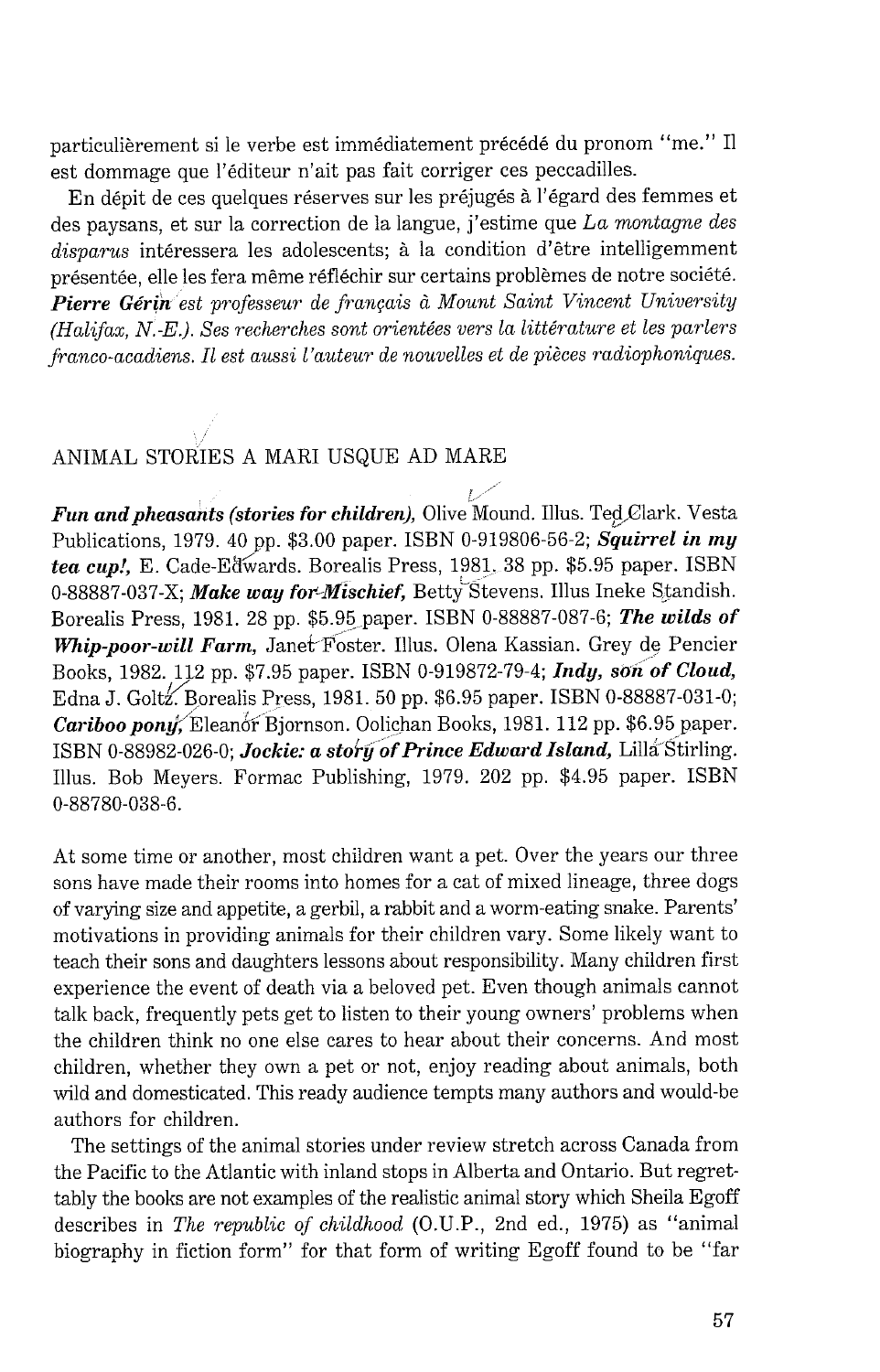particulièrement si le verbe est immédiatement précédé du pronom "me." Il est dommage que l'editeur n'ait pas fait corriger ces peccadilles.

En dépit de ces quelques réserves sur les préjugés à l'égard des femmes et des paysans, et sur la correction de la langue, j'estime que *La montagne des*  disparus intéressera les adolescents; à la condition d'être intelligemment présentée, elle les fera même réfléchir sur certains problèmes de notre société. Pierre Gérin est professeur de français à Mount Saint Vincent University *(Halifax, N.-E.). Ses recherches sont oriente'es vers la litte'rature et les parlers franco-acadiens. I1 est aussi l'auteur de nouvelles et de pieces radiophoniques.* 

## ANIMAL STORIES A MAR1 USQUE AD MARE

**Fun and pheasants (stories for children), Olive Mound. Illus. Ted Clark. Vesta** Publications, 1979. 40 pp. \$3.00 paper. ISBN 0-919806-56-2; Squirrel in my tea cup!, E. Cade-Edwards. Borealis Press, 1981. 38 pp. \$5.95 paper. ISBN 0-88887-037-X; Make way for-Mischief, Betty Stevens. Illus Ineke Standish. Borealis Press, 1981. 28 pp. \$5.95 paper. ISBN 0-88887-087-6; The wilds of Whip-poor-will Farm, Janet Foster. Illus. Olena Kassian. Grey de Pencier Books, 1982. 112 pp. \$7.95 paper. ISBN 0-919872-79-4; Indy, son of Cloud, Edna J. Goltz. Borealis Press, 1981. 50 pp. \$6.95 paper. ISBN 0-88887-031-0; Cariboo pony, Eleanor Bjornson. Oolichan Books, 1981. 112 pp. \$6.95 paper. ISBN 0-88982-026-0; Jockie: a story of Prince Edward Island, Lilla Stirling. Illus. Bob Meyers. Formac Publishing, 1979. 202 pp. \$4.95 paper. ISBN 0-88780-038-6.

At some time or another, most children want a pet. Over the years our three sons have made their rooms into homes for a cat of mixed lineage, three dogs of varying size and appetite, a gerbil, a rabbit and a worm-eating snake. Parents' motivations in providing animals for their children vary. Some likely want to teach their sons and daughters lessons about responsibility. Many children first experience the event of death via a beloved pet. Even though animals cannot talk back, frequently pets get to listen to their young owners' problems when the children think no one else cares to hear about their concerns. And most children, whether they own a pet or not, enjoy reading about animals, both wild and domesticated. This ready audience tempts many authors and would-be authors for children.

The settings of the animal stories under review stretch across Canada from the Pacific to the Atlantic with inland stops in Alberta and Ontario. But regrettably the books are not examples of the realistic animal story which Sheila Egoff describes in *The republic of childhood* (O.U.P., 2nd ed., 1975) as "animal biography in fiction form" for that form of writing Egoff found to be "far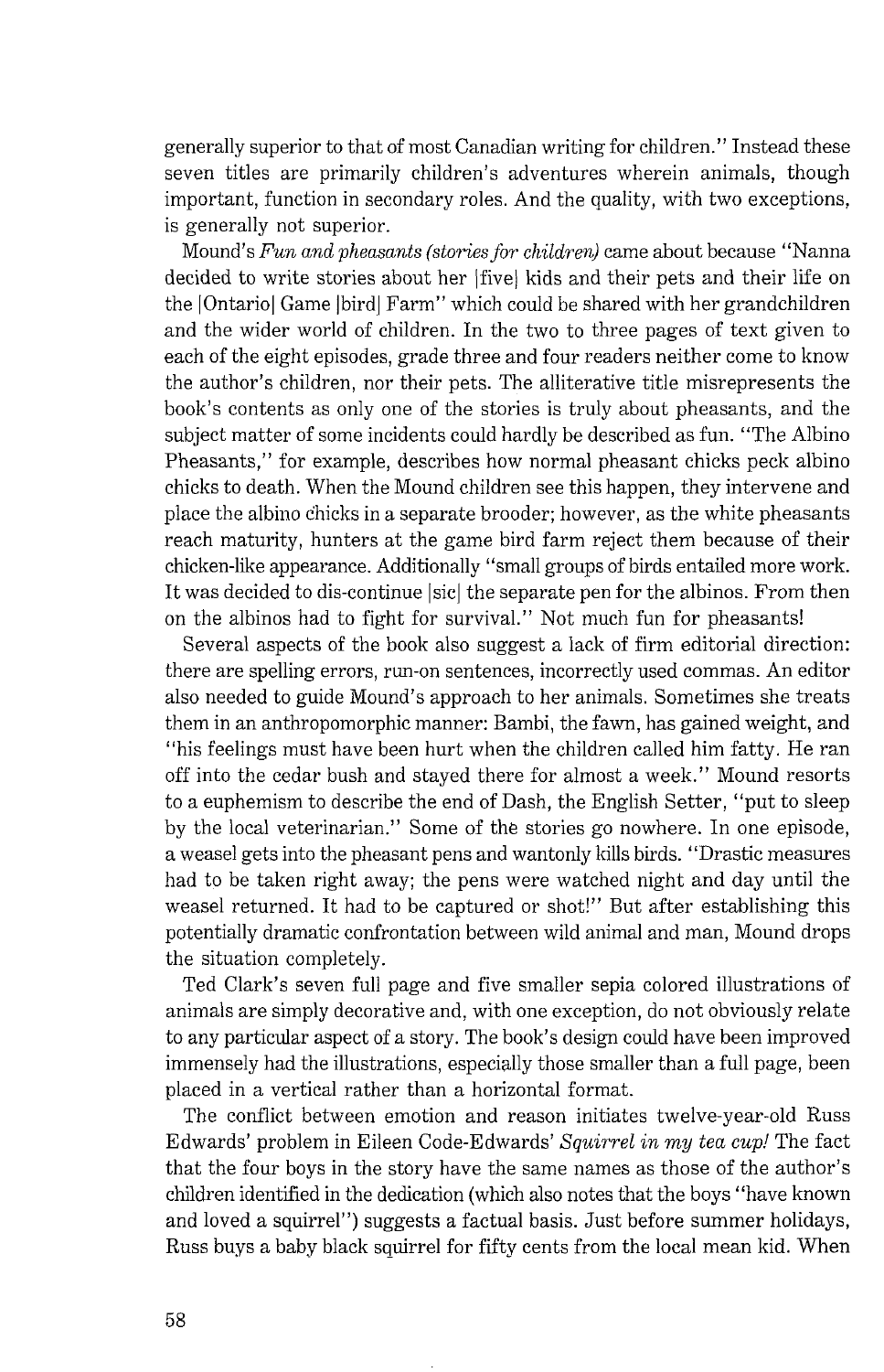generally superior to that of most Canadian writing for children." Instead these seven titles are primarily children's adventures wherein animals, though important, function in secondary roles. And the quality, with two exceptions, is generally not superior.

Mound's Fun *and pheasants (stories for children)* came about because "Nanna decided to write stories about her | five| kids and their pets and their life on the [Ontario] Game [bird] Farm" which could be shared with her grandchildren and the wider world of children. In the two to three pages of text given to each of the eight episodes, grade three and four readers neither come to know the author's children, nor their pets. The alliterative title misrepresents the book's contents as only one of the stories is truly about pheasants, and the subject matter of some incidents could hardly be described as fun. "The Albino Pheasants," for example, describes how normal pheasant chicks peck albino chicks to death. When the Mound children see this happen, they intervene and place the albino chicks in a separate brooder; however, as the white pheasants reach maturity, hunters at the game bird farm reject them because of their chicken-like appearance. Additionally "small groups of birds entailed more work. It was decided to dis-continue | sic| the separate pen for the albinos. From then on the albinos had to fight for survival." Not much fun for pheasants!

Several aspects of the book also suggest a lack of firm editorial direction: there are spelling errors, run-on sentences, incorrectly used commas. An editor also needed to guide Mound's approach to her animals. Sometimes she treats them in an anthropomorphic manner: Bambi, the fawn, has gained weight, and "his feelings must have been hurt when the children called him fatty. He ran off into the cedar bush and stayed there for almost a week." Mound resorts to a euphemism to describe the end of Dash, the English Setter, "put to sleep by the local veterinarian." Some of the stories go nowhere. In one episode, a weasel gets into the pheasant pens and wantonly kills birds. "Drastic measures had to be taken right away; the pens were watched night and day until the weasel returned. It had to be captured or shot!" But after establishing this potentially dramatic confrontation between wild animal and man, Mound drops the situation completely.

Ted Clark's seven full page and five smaller sepia colored illustrations of animals are simply decorative and, with one exception, do not obviously relate to any particular aspect of a story. The book's design could have been improved immensely had the illustrations, especially those smaller than a full page, been placed in a vertical rather than a horizontal format.

The conflict between emotion and reason initiates twelve-year-old Russ Edwards' problem in Eileen Code-Edwards' *Squirrel in* my *tea cup!* The fact that the four boys in the story have the same names as those of the author's children identified in the dedication (which also notes that the boys "have known and loved a squirrel") suggests a factual basis. Just before summer holidays, Russ bugs a baby black squirrel for fifty cents from the local mean kid. When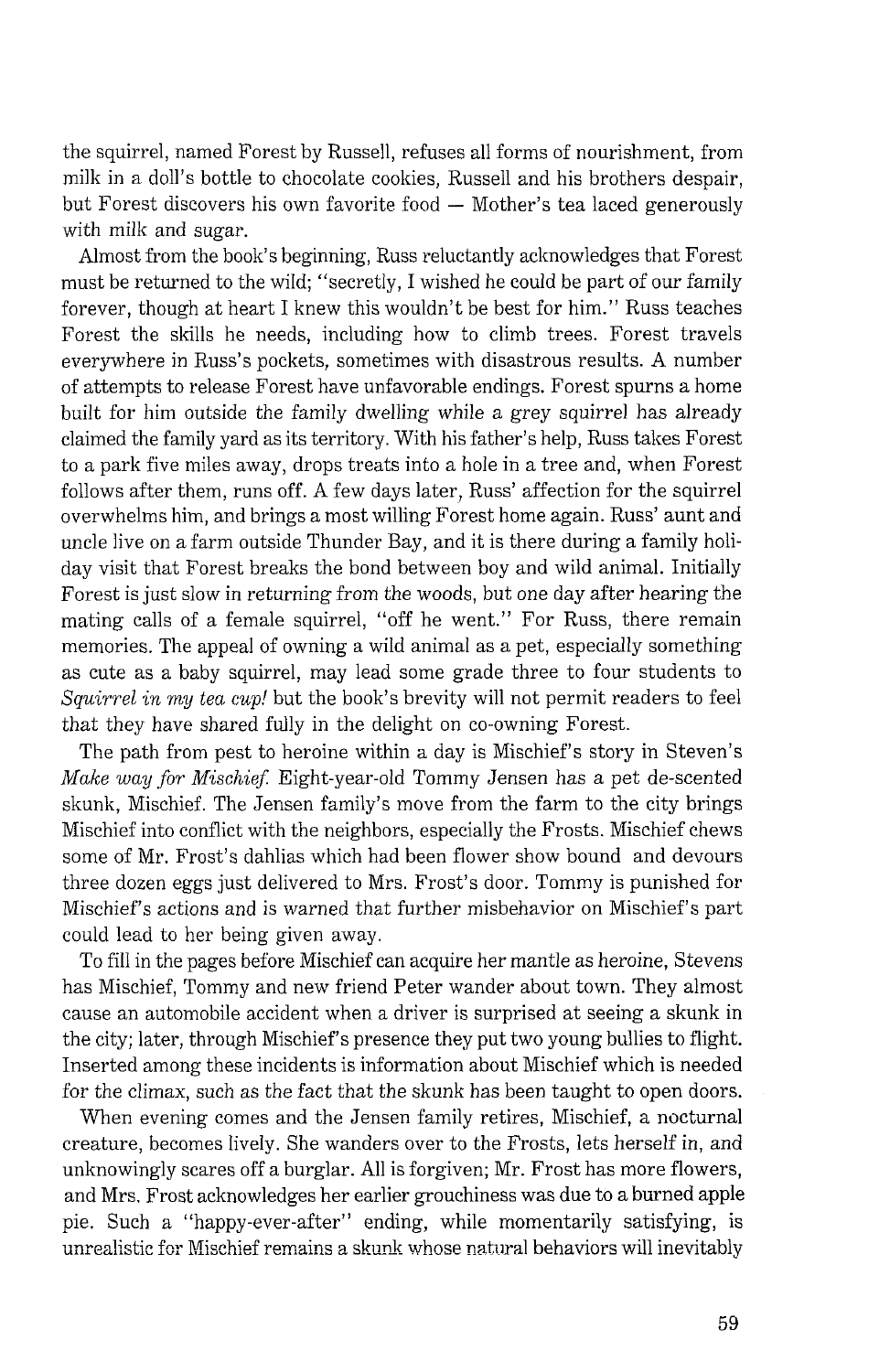the squirrel, named Forest by Russell, refuses all forms of nourishment, from milk in a doll's bottle to chocolate cookies, Russell and his brothers despair, but Forest discovers his own favorite food - Mother's tea laced generously with milk and sugar.

Almost from the book's beginning, Russ reluctantly acknowledges that Forest must be returned to the wild; "secretly, I wished he could be part of our family forever, though at heart I knew this wouldn't be best for him." Russ teaches Forest the skills he needs, including how to climb trees. Forest travels everywhere in Russ's pockets, sometimes with disastrous results. A number of attempts to release Forest have unfavorable endings. Forest spurns a home built for him outside the family dwelling while a grey squirrel has already claimed the family yard as its territory. With his father's help, Russ talces Forest to a park five miles away, drops treats into a hole in a tree and, when Forest follows after them, runs off. A few days later, Russ' affection for the squirrel overwhelms him, and brings a most willing Forest home again. Russ' aunt and uncle live on a farm outside Thunder Bay, and it is there during a family holiday visit that Forest breaks the bond between boy and wild animal. Initially Forest is just slow in returning from the woods, but one day after hearing the mating calls of a female squirrel, "off he went." For Russ, there remain memories. The appeal of owning a wild animal as a pet, especially something as cute as a baby squirrel, may lead some grade three to four students to *Squirrel in rny tea cup!* but the book's brevity will not permit readers to feel that they have shared fully in the delight on co-owning Forest.

The path from pest to heroine within a day is Mischief's story in Steven's *Make way for MisckieJ:* Eight-year-old Tommy Jensen has a pet de-scented skunk, Mischief. The Jensen family's move from the farm to the city brings Mischief into conflict with the neighbors, especially the Frosts. Mischief chews some of Mr. Frost's dahlias which had been flower show bound and devours three dozen eggs just delivered to Mrs. Frost's door. Tommy is punished for Mischief's actions and is warned that further misbehavior on Mischief's part could lead to her being given away.

To fill in the pages before Mischief can acquire her mantle as heroine, Stevens has Mischief, Tommy and new friend Peter wander about town. They almost cause an automobile accident when a driver is surprised at seeing a skunk in the city; later, through Mischief's presence they put two young bullies to flight. Inserted among these incidents is information about Mischief which is needed for the climax, such as the fact that the skunk has been taught to open doors.

When evening comes and the Jensen family retires, Mischief, a nocturnal creature, becomes lively. She wanders over to the Frosts, lets herself in, and unknowingly scares off a burglar. All is forgiven; Mr. Frost has more flowers, and Mrs. Frost acknowledges her earlier grouchiness was due to a burned apple pie. Such a "happy-ever-after" ending, while momentarily satisfying, is unrealistic for Mischief remains a skunk whose natural behaviors will inevitably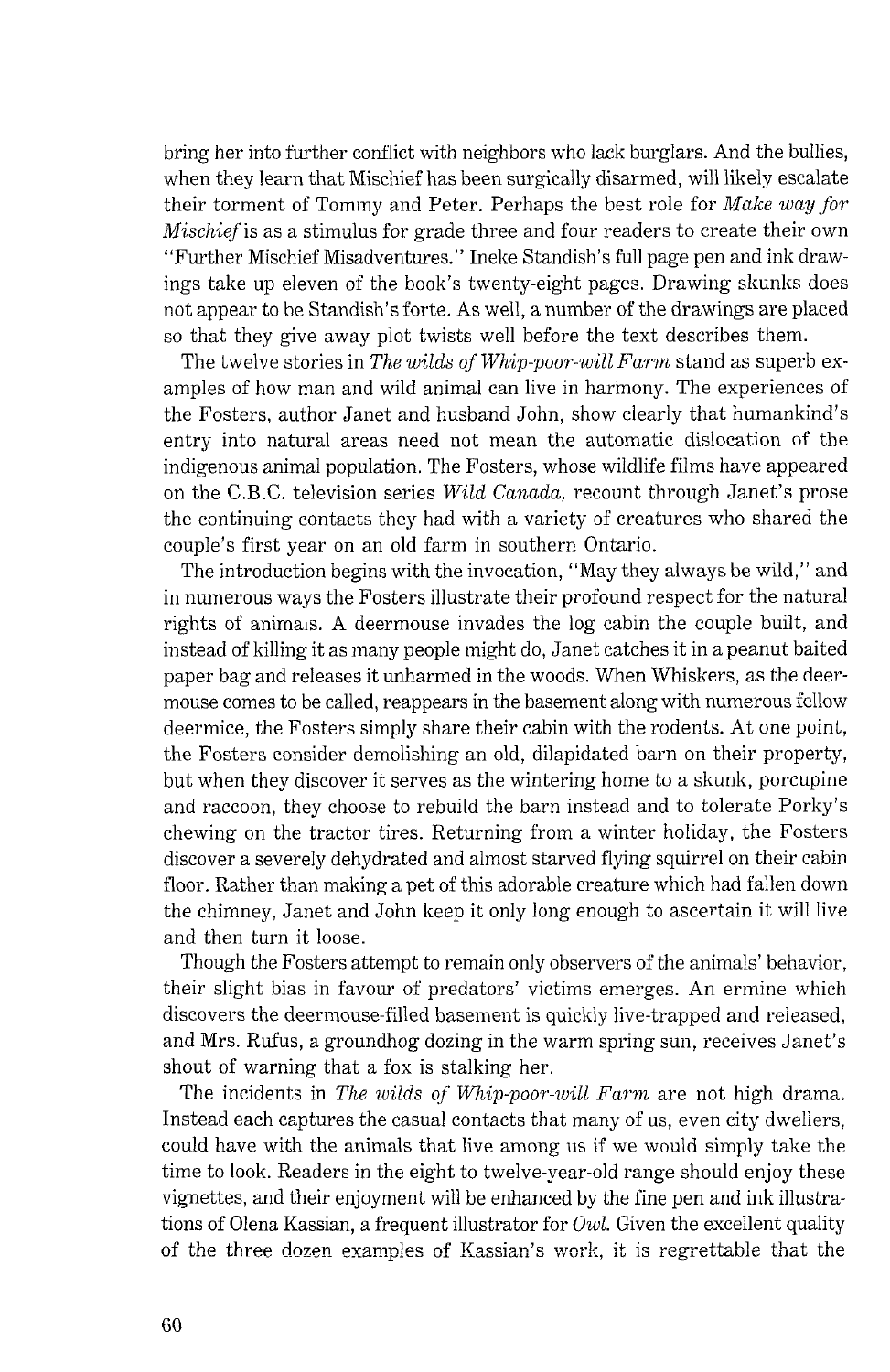bring her into further conflict with neighbors who lack burglars. And the bullies, when they learn that Mischief has been surgically disarmed, will likely escalate their torment of Tommy and Peter. Perhaps the best role for *Make way for*  Mischiefis as a stimulus for grade three and four readers to create their own "Further Mischief Misadventures." Inelce Standish's full page pen and ink drawings take up eleven of the book's twenty-eight pages. Drawing skunks does not appear to be Standish's forte. As well, a number of the drawings are placed so that they give away plot twists well before the text describes them.

The twelve stories in *The wilds of Whip-poor-will Farm* stand as superb examples of how man and wild animal can live in harmony. The experiences of the Fosters, author Janet and husband John, show clearly that humankind's entry into natural areas need not mean the automatic dislocation of the indigenous animal population. The Fosters, whose wildlife films have appeared on the C.B.C. television series *Wild Canada*, recount through Janet's prose the continuing contacts they had with a variety of creatures who shared the couple's first year on an old farm in southern Ontario.

The introduction begins with the invocation, "May they always be wild," and in numerous ways the Fosters illustrate their profound respect for the natural rights of animals. A deermouse invades the log cabin the couple built, and instead of killing it as many people might do, Janet catches it in a peanut baited paper bag and releases it unharmed in the woods. When Whiskers, as the deermouse comes to be called, reappears in the basement along with numerous fellow deermice, the Fosters simply share their cabin with the rodents. At one point, the Fosters consider demolishing an old, dilapidated barn on their property, but when they discover it serves as the wintering home to a skunk, porcupine and raccoon, they choose to rebuild the barn instead and to tolerate Porky's chewing on the tractor tires. Returning from a winter holiday, the Fosters discover a severely dehydrated and almost starved flying squirrel on their cabin floor. Rather than malting a pet of this adorable creature which had fallen down the chimney, Janet and John keep it only long enough to ascertain it will live and then turn it loose.

Though the Fosters attempt to remain only observers of the animals' behavior, their slight bias in favour of predators' victims emerges. An ermine which discovers the deermouse-filled basement is quickly live-trapped and released, and Mrs. Rufus, a groundhog dozing in the warm spring sun, receives Janet's shout of warning that a fox is stalking her.

The incidents in *The wilds of Whip-poor-will Farm* are not high drama. Instead each captures the casual contacts that many of us, even city dwellers, could have with the animals that live among us if we would simply take the time to look. Readers in the eight to twelve-year-old range should enjoy these vignettes, and their enjoyment will be enhanced by the fine pen and ink illustrations of Olena Kassian, a frequent illustrator for *Owl.* Given the excellent quality of the three dozen examples of Kassian's work, it is regrettable that the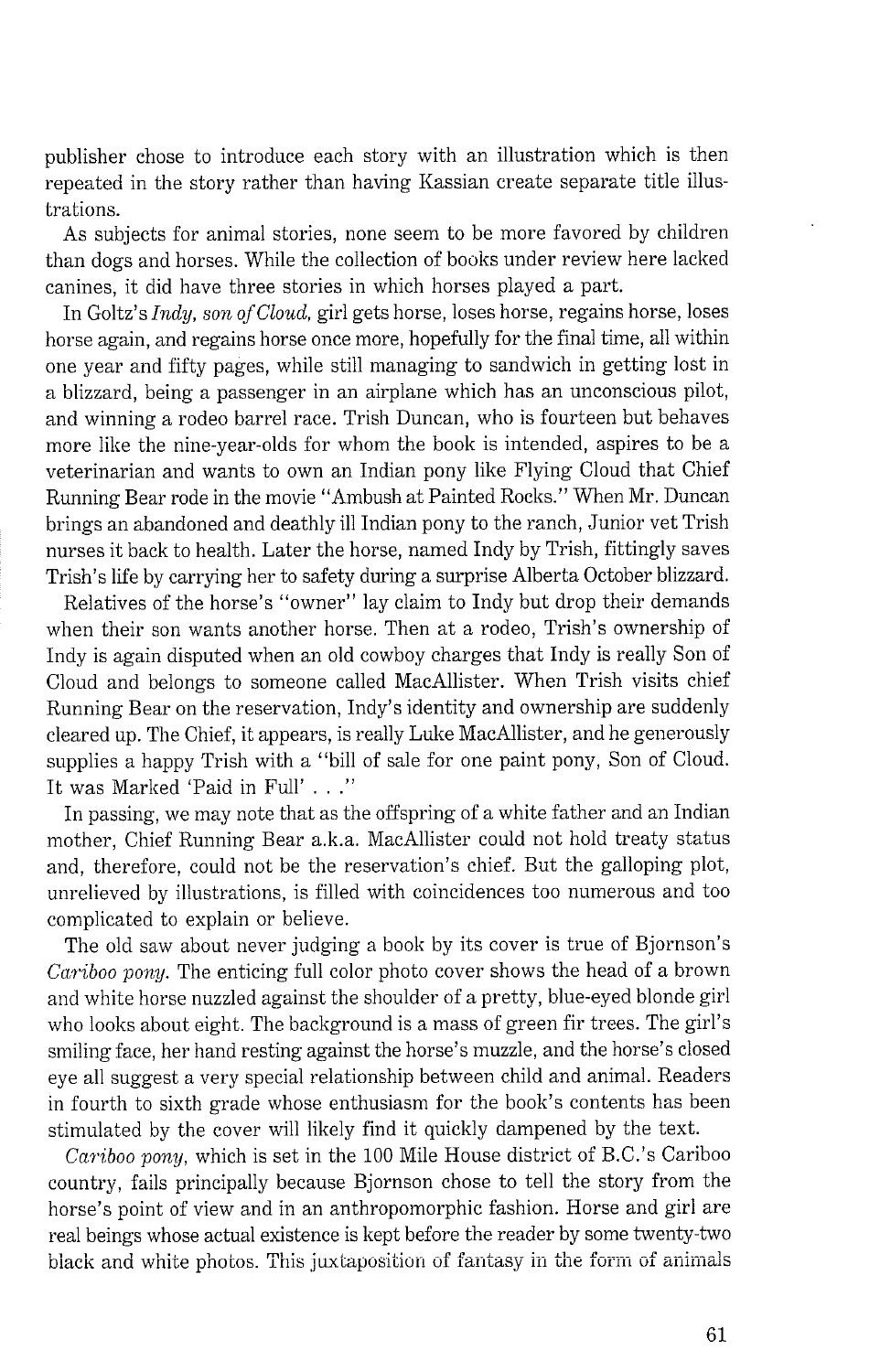publisher chose to introduce each story with an illustration which is then repeated in the story rather than having Kassian create separate title illustrations.

As subjects for animal stories, none seem to be more favored by children than dogs and horses. While the collection of books under review here lacked canines, it did have three stories in which horses played a part.

In Goltz's *Indy, son of Cloud,* girl gets horse, loses horse, regains horse, loses horse again, and regains horse once more, hopefully for the final time, all within one year and fifty pages, while still managing to sandwich in getting lost in a blizzard, being a passenger in an airplane which has an unconscious pilot, and winning a rodeo barrel race. Trish Duncan, who is fourteen but behaves more like the nine-year-olds for whom the book is intended, aspires to be a veterinarian and wants to own an Indian pony like Flying Cloud that Chief Running Bear rode in the movie "Ambush at Painted Rocks." When Mr. Duncan brings an abandoned and deathly ill Indian pony to the ranch, Junior vet Trish nurses it back to health. Later the horse, named Indy by Trish, fittingly saves Trish's life by carrying her to safety during a surprise Alberta October blizzard.

Relatives of the horse's "owner" lay claim to Indy but drop their demands when their son wants another horse. Then at a rodeo, Trish's ownership of Indy is again disputed when an old cowboy charges that Indy is really Son of Cloud and belongs to someone called MacAllister. When Trish visits chief Running Bear on the reservation, Indy's identity and ownership are suddenly cleared up. The Chief, it appears, is really Luke MacAllister, and he generously supplies a happy Trish with a "bill of sale for one paint pony, Son of Cloud. It was Marked 'Paid in Full' . . ."

In passing, we may note that as the offspring of a white father and an Indian mother, Chief Running Bear a.k.a. MacAllister could not hold treaty status and, therefore, could not be the reservation's chief. But the galloping plot, unrelieved by illustrations, is filled with coincidences too numerous and too complicated to explain or believe.

The old saw about never judging a book by its cover is true of Bjornson's *Cariboo pony.* The enticing full color photo cover shows the head of a brown and white horse nuzzled against the shoulder of a pretty, blue-eyed blonde girl who looks about eight. The background is a mass of green fir trees. The girl's smiling face, her hand resting against the horse's muzzle, and the horse's closed eye all suggest a very special relationship between child and animal. Readers in fourth to sixth grade whose enthusiasm for the book's contents has been stimulated by the cover will likely find it quickly dampened by the text.

*Cariboo pony*, which is set in the 100 Mile House district of B.C.'s Cariboo country, fails principally because Bjornson chose to tell the story from the horse's point of view and in an anthropomorphic fashion. Horse and girl are real beings whose actual existence is kept before the reader by some twenty-two black and white photos. This juxtaposition of fantasy in the form of animals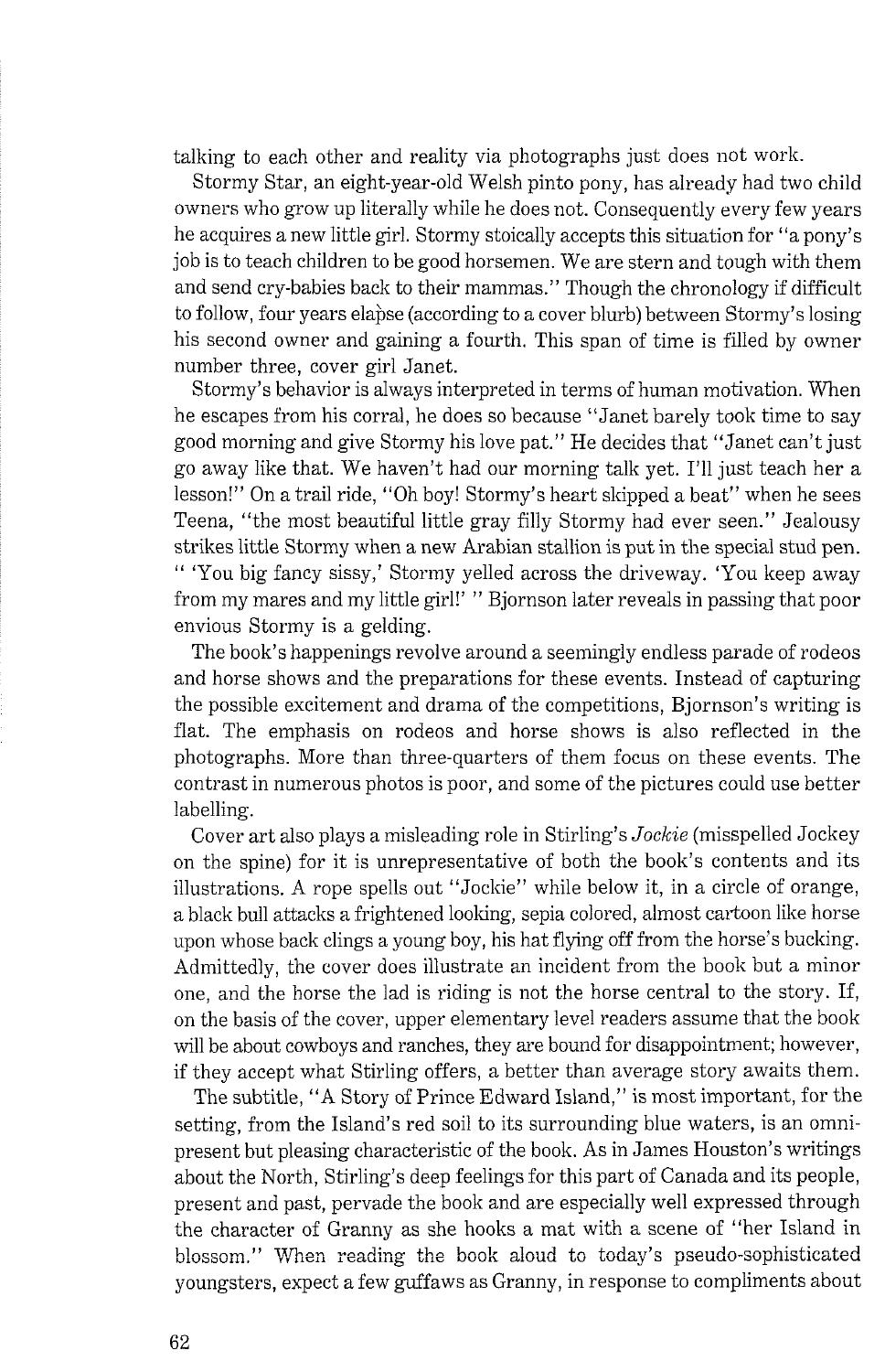talking to each other and reality via photographs just does not work.

Stormy Star, an eight-year-old Welsh pinto pony, has already had two child owners who grow up literally while he does not. Consequently every few years he acquires a new little girl. Stormy stoically accepts this situation for "a pony's job is to teach children to be good horsemen. We are stern and tough with them and send cry-babies back to their mammas." Though the chronology if difficult to follow, four years elabse (according to a cover blurb) between Stormy's losing his second owner and gaining a fourth. This span of time is filled by owner number three, cover girl Janet.

Stormy's behavior is always interpreted in terms of human motivation. When he escapes from his corral, he does so because "Janet barely took time to say good morning and give Stormy his love pat." He decides that "Janet can't just go away like that. We haven't had our morning talk yet. I'll just teach her a lesson!" On a trail ride, "Oh boy! Stormy's heart skipped a beat" when he sees Teena, "the most beautiful little gray filly Stormy had ever seen." Jealousy strikes little Stormy when a new Arabian stallion is put in the special stud pen. " 'You big fancy sissy,' Stormy yelled across the driveway. 'You keep away from my mares and my little girl!' " Bjornson later reveals in passing that poor envious Stormy is a gelding.

The book's happenings revolve around a seemingly endless parade of rodeos and horse shows and the preparations for these events. Instead of capturing the possible excitement and drama of the competitions, Bjornson's writing is flat. The emphasis on rodeos and horse shows is also reflected in the photographs. More than three-quarters of them focus on these events. The contrast in numerous photos is poor, and some of the pictures could use better labelling.

Cover art also plays a misleading role in Stirling's *Jockie* (misspelled Jockey on the spine) for it is unrepresentative of both the book's contents and its illustrations. A rope spells out "Jockie" while below it, in a circle of orange, a black bull attacks a frightened looking, sepia colored, almost cartoon like horse upon whose back clings a young boy, his hat flying off from the horse's bucking. Admittedly, the cover does illustrate an incident from the book but a minor one, and the horse the lad is riding is not the horse central to the story. If, on the basis of the cover, upper elementary level readers assume that the book will be about cowboys and ranches, they are bound for disappointment; however, if they accept what Stirling offers, a better than average story awaits them.

The subtitle, "A Story of Prince Edward Island," is most important, for the setting, from the Island's red soil to its surrounding blue waters, is an omnipresent but pleasing characteristic of the book. As in James Houston's writings about the North, Stirling's deep feelings for this part of Canada and its people, present and past, pervade the book and are especially well expressed through the character of Granny as she hooks a mat with a scene of "her Island in blossom." When reading the book aloud to today's pseudo-sophisticated youngsters, expect a few guffaws as Granny, in response to compliments about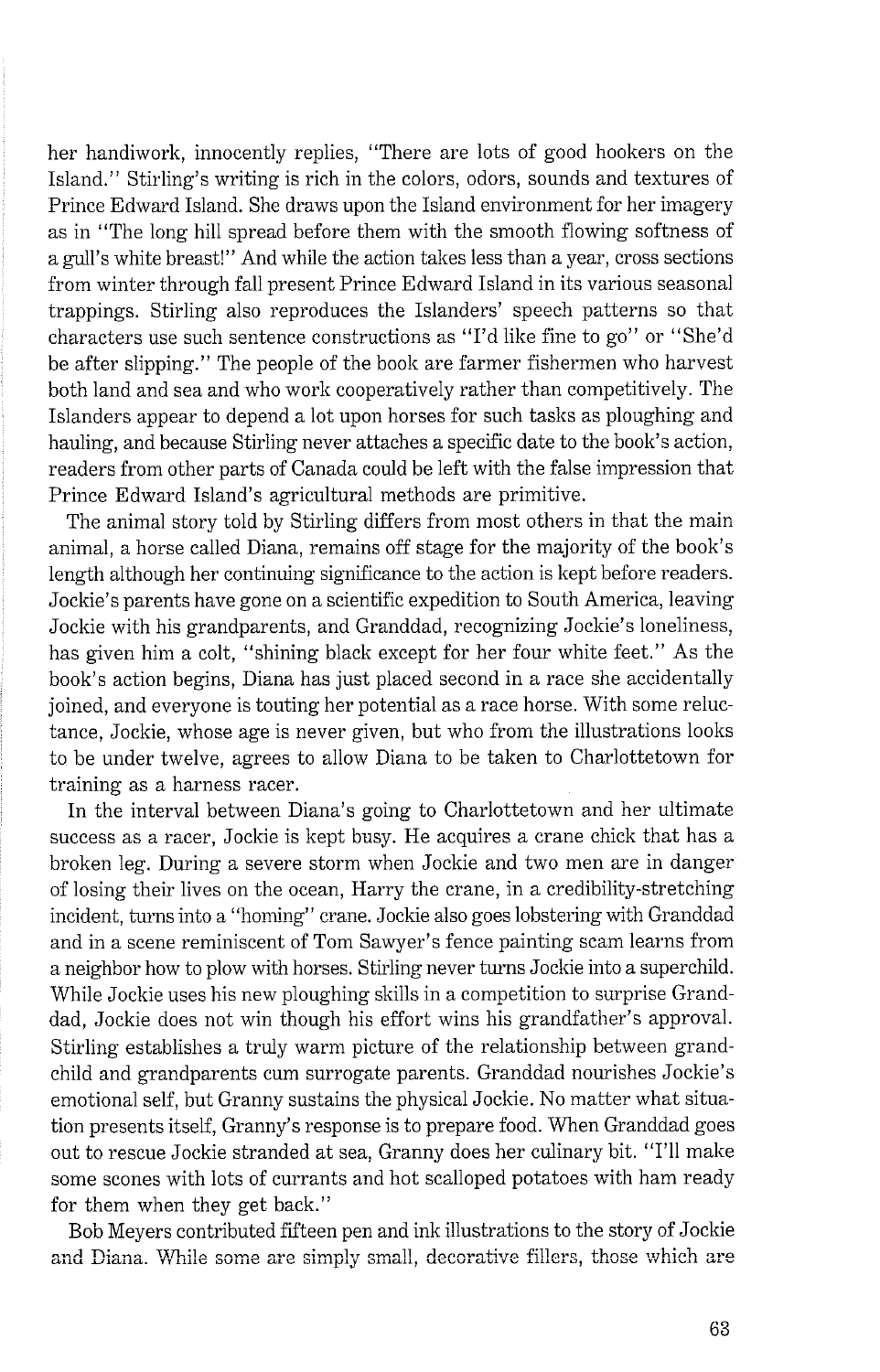her handiwork, innocently replies, "There are lots of good hookers on the Island." Stirling's writing is rich in the colors, odors, sounds and textures of Prince Edward Island. She draws upon the Island environment for her imagery as in "The long hill spread before them with the smooth flowing softness of a gull's white breast!" And while the action takes less than a year, cross sections from winter through fall present Prince Edward Island in its various seasonal trappings. Stirling also reproduces the Islanders' speech patterns so that characters use such sentence constructions as "I'd like fine to go" or "She'd be after slipping." The people of the book are farmer fishermen who harvest both land and sea and who work cooperatively rather than competitively. The Islanders appear to depend a lot upon horses for such tasks as ploughing and hauling, and because Stirling never attaches a specific date to the book's action, readers from other parts of Canada could be left with the false impression that Prince Edward Island's agricultural methods are primitive.

The animal story told by Stirling differs from most others in that the main animal, a horse called Diana, remains off stage for the majority of the book's length although her continuing significance to the action is kept before readers. Jockie's parents have gone on a scientific expedition to South America, leaving Jockie with his grandparents, and Granddad, recognizing Jockie's loneliness, has given him a colt, "shining black except for her four white feet." As the book's action begins, Diana has just placed second in a race she accidentally joined, and everyone is touting her potential as a race horse. With some reluctance, Jockie, whose age is never given, but who from the illustrations looks to be under twelve, agrees to allow Diana to be taken to Charlottetown for training as a harness racer.

In the interval between Diana's going to Charlottetown and her ultimate success as a racer, Jockie is kept busy. He acquires a crane chick that has a broken leg. During a severe storm when Jockie and two men are in danger of losing their lives on the ocean, Harry the crane, in a credibility-stretching incident, turns into a "homing" crane. Jockie also goes lobstering with Granddad and in a scene reminiscent of Tom Sawyer's fence painting scam learns from a neighbor how to plow with horses. Stirling never twns Jockie into a superchild. While Jockie uses his new ploughing skills in a competition to surprise Granddad, Jockie does not win though his effort wins his grandfather's approval. Stirling establishes a truly warm picture of the relationship between grandchild and grandparents cum surrogate parents. Granddad nourishes Jockie's emotional self, but Granny sustains the physical Jockie. No matter what situation presents itself, Granny's response is to prepare food. When Granddad goes out to rescue Jockie stranded at sea, Granny does her culinary bit. "I'll make some scones with lots of currants and hot scalloped potatoes with ham ready for them when they get back."

Bob Meyers contributed fifteen pen and ink illustrations to the story of Jockie and Diana. While some are simply small, decorative fillers, those which are